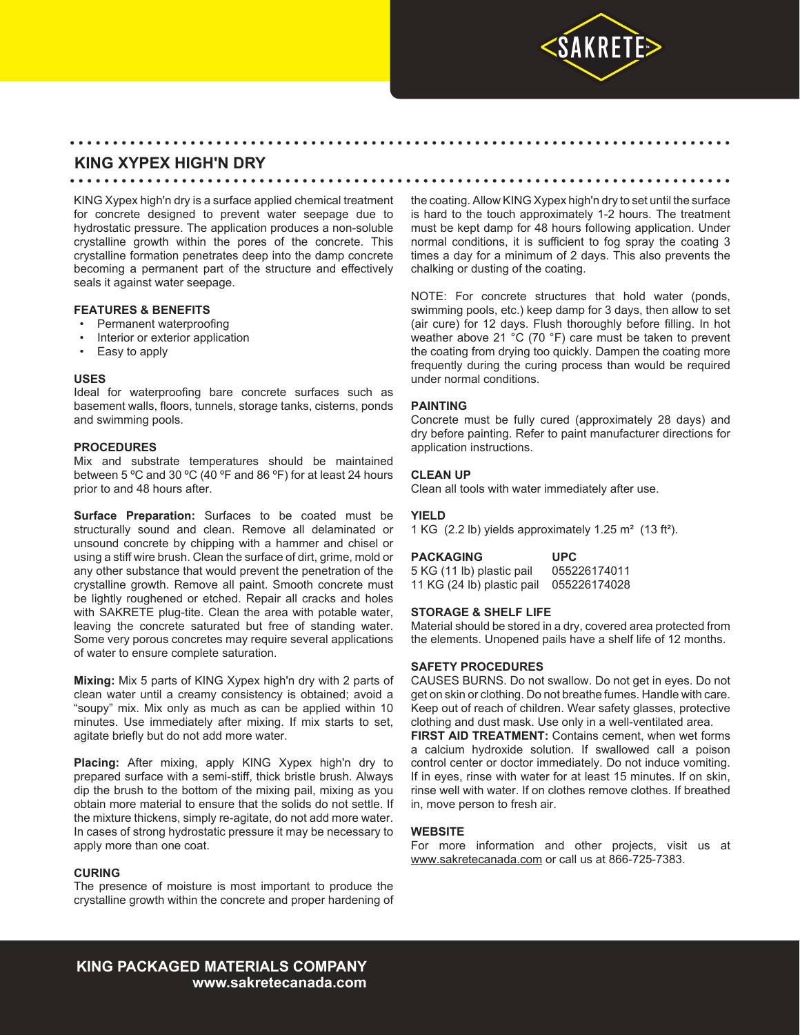

# **KING XYPEX HIGH'N DRY**

KING Xypex high'n dry is a surface applied chemical treatment for concrete designed to prevent water seepage due to hydrostatic pressure. The application produces a non-soluble crystalline growth within the pores of the concrete. This crystalline formation penetrates deep into the damp concrete becoming a permanent part of the structure and effectively seals it against water seepage.

### **FEATURES & BENEFITS**

- Permanent waterproofing
- Interior or exterior application
- Easy to apply

### **USES**

Ideal for waterproofing bare concrete surfaces such as basement walls, floors, tunnels, storage tanks, cisterns, ponds and swimming pools.

### **PROCEDURES**

Mix and substrate temperatures should be maintained between 5 ºC and 30 ºC (40 ºF and 86 ºF) for at least 24 hours prior to and 48 hours after.

**Surface Preparation:** Surfaces to be coated must be structurally sound and clean. Remove all delaminated or unsound concrete by chipping with a hammer and chisel or using a stiff wire brush. Clean the surface of dirt, grime, mold or any other substance that would prevent the penetration of the crystalline growth. Remove all paint. Smooth concrete must be lightly roughened or etched. Repair all cracks and holes with SAKRETE plug-tite. Clean the area with potable water, leaving the concrete saturated but free of standing water. Some very porous concretes may require several applications of water to ensure complete saturation.

**Mixing:** Mix 5 parts of KING Xypex high'n dry with 2 parts of clean water until a creamy consistency is obtained; avoid a "soupy" mix. Mix only as much as can be applied within 10 minutes. Use immediately after mixing. If mix starts to set, agitate briefly but do not add more water.

**Placing:** After mixing, apply KING Xypex high'n dry to prepared surface with a semi-stiff, thick bristle brush. Always dip the brush to the bottom of the mixing pail, mixing as you obtain more material to ensure that the solids do not settle. If the mixture thickens, simply re-agitate, do not add more water. In cases of strong hydrostatic pressure it may be necessary to apply more than one coat.

# **CURING**

The presence of moisture is most important to produce the crystalline growth within the concrete and proper hardening of the coating. Allow KING Xypex high'n dry to set until the surface is hard to the touch approximately 1-2 hours. The treatment must be kept damp for 48 hours following application. Under normal conditions, it is sufficient to fog spray the coating 3 times a day for a minimum of 2 days. This also prevents the chalking or dusting of the coating.

NOTE: For concrete structures that hold water (ponds, swimming pools, etc.) keep damp for 3 days, then allow to set (air cure) for 12 days. Flush thoroughly before filling. In hot weather above 21 °C (70 °F) care must be taken to prevent the coating from drying too quickly. Dampen the coating more frequently during the curing process than would be required under normal conditions.

### **PAINTING**

• • • • • • • • • • • • • • • • • • • • • • • • • • • • • • • • • • • • • • • • • • • • • • • • • • • • • • • • • • • • • • • • • • • • • • • • • • • • •

• • • • • • • • • • • • • • • • • • • • • • • • • • • • • • • • • • • • • • • • • • • • • • • • • • • • • • • • • • • • • • • • • • • • • • • • • • • • •

Concrete must be fully cured (approximately 28 days) and dry before painting. Refer to paint manufacturer directions for application instructions.

### **CLEAN UP**

Clean all tools with water immediately after use.

# **YIELD**

1 KG (2.2 lb) yields approximately 1.25 m² (13 ft²).

# **PACKAGING UPC**

5 KG (11 lb) plastic pail 055226174011 11 KG (24 lb) plastic pail 055226174028

# **STORAGE & SHELF LIFE**

Material should be stored in a dry, covered area protected from the elements. Unopened pails have a shelf life of 12 months.

# **SAFETY PROCEDURES**

CAUSES BURNS. Do not swallow. Do not get in eyes. Do not get on skin or clothing. Do not breathe fumes. Handle with care. Keep out of reach of children. Wear safety glasses, protective clothing and dust mask. Use only in a well-ventilated area.

**FIRST AID TREATMENT:** Contains cement, when wet forms a calcium hydroxide solution. If swallowed call a poison control center or doctor immediately. Do not induce vomiting. If in eyes, rinse with water for at least 15 minutes. If on skin, rinse well with water. If on clothes remove clothes. If breathed in, move person to fresh air.

# **WEBSITE**

For more information and other projects, visit us at www.sakretecanada.com or call us at 866-725-7383.

**KING PACKAGED MATERIALS COMPANY www.sakretecanada.com**